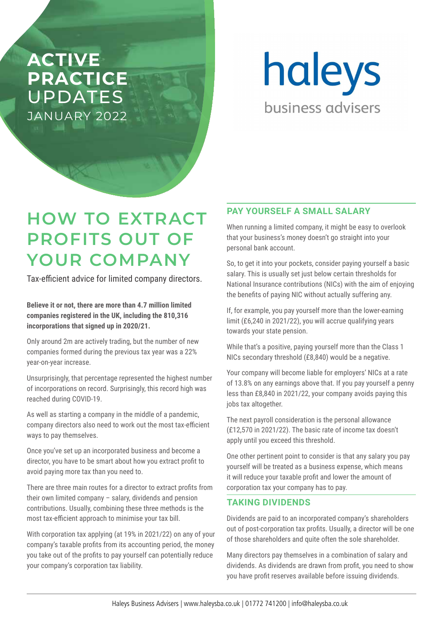## **ACTIVE PRACTICE**  UPDATES JANUARY 2022

haleys business advisers

# **HOW TO EXTRACT PROFITS OUT OF YOUR COMPANY**

Tax-efficient advice for limited company directors.

**Believe it or not, there are more than 4.7 million limited companies registered in the UK, including the 810,316 incorporations that signed up in 2020/21.** 

Only around 2m are actively trading, but the number of new companies formed during the previous tax year was a 22% year-on-year increase.

Unsurprisingly, that percentage represented the highest number of incorporations on record. Surprisingly, this record high was reached during COVID-19.

As well as starting a company in the middle of a pandemic, company directors also need to work out the most tax-efficient ways to pay themselves.

Once you've set up an incorporated business and become a director, you have to be smart about how you extract profit to avoid paying more tax than you need to.

There are three main routes for a director to extract profits from their own limited company – salary, dividends and pension contributions. Usually, combining these three methods is the most tax-efficient approach to minimise your tax bill.

With corporation tax applying (at 19% in 2021/22) on any of your company's taxable profits from its accounting period, the money you take out of the profits to pay yourself can potentially reduce your company's corporation tax liability.

### **PAY YOURSELF A SMALL SALARY**

When running a limited company, it might be easy to overlook that your business's money doesn't go straight into your personal bank account.

So, to get it into your pockets, consider paying yourself a basic salary. This is usually set just below certain thresholds for National Insurance contributions (NICs) with the aim of enjoying the benefits of paying NIC without actually suffering any.

If, for example, you pay yourself more than the lower-earning limit (£6,240 in 2021/22), you will accrue qualifying years towards your state pension.

While that's a positive, paying yourself more than the Class 1 NICs secondary threshold (£8,840) would be a negative.

Your company will become liable for employers' NICs at a rate of 13.8% on any earnings above that. If you pay yourself a penny less than £8,840 in 2021/22, your company avoids paying this jobs tax altogether.

The next payroll consideration is the personal allowance (£12,570 in 2021/22). The basic rate of income tax doesn't apply until you exceed this threshold.

One other pertinent point to consider is that any salary you pay yourself will be treated as a business expense, which means it will reduce your taxable profit and lower the amount of corporation tax your company has to pay.

### **TAKING DIVIDENDS**

Dividends are paid to an incorporated company's shareholders out of post-corporation tax profits. Usually, a director will be one of those shareholders and quite often the sole shareholder.

Many directors pay themselves in a combination of salary and dividends. As dividends are drawn from profit, you need to show you have profit reserves available before issuing dividends.